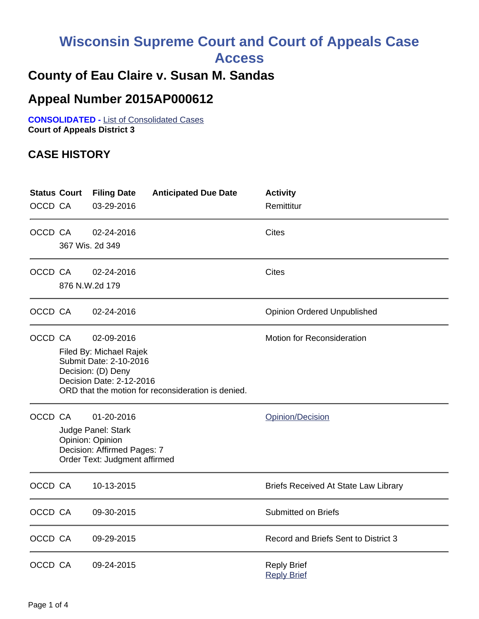# **Wisconsin Supreme Court and Court of Appeals Case**

**Access**

## **County of Eau Claire v. Susan M. Sandas**

## **Appeal Number 2015AP000612**

**CONSOLIDATED -** List of Consolidated Cases **Court of Appeals District 3**

### **CASE HISTORY**

| <b>Status Court</b><br>OCCD CA |                                                                                                                                                                                                              | <b>Filing Date</b><br>03-29-2016 | <b>Anticipated Due Date</b> | <b>Activity</b><br>Remittitur               |
|--------------------------------|--------------------------------------------------------------------------------------------------------------------------------------------------------------------------------------------------------------|----------------------------------|-----------------------------|---------------------------------------------|
| OCCD CA                        |                                                                                                                                                                                                              | 02-24-2016<br>367 Wis. 2d 349    |                             | <b>Cites</b>                                |
| OCCD CA                        | <b>Cites</b><br>02-24-2016<br>876 N.W.2d 179                                                                                                                                                                 |                                  |                             |                                             |
| OCCD CA                        |                                                                                                                                                                                                              | 02-24-2016                       |                             | <b>Opinion Ordered Unpublished</b>          |
| OCCD CA                        | <b>Motion for Reconsideration</b><br>02-09-2016<br>Filed By: Michael Rajek<br>Submit Date: 2-10-2016<br>Decision: (D) Deny<br>Decision Date: 2-12-2016<br>ORD that the motion for reconsideration is denied. |                                  |                             |                                             |
| OCCD CA                        | 01-20-2016<br>Judge Panel: Stark<br>Opinion: Opinion<br>Decision: Affirmed Pages: 7<br>Order Text: Judgment affirmed                                                                                         |                                  |                             | Opinion/Decision                            |
| OCCD CA                        |                                                                                                                                                                                                              | 10-13-2015                       |                             | <b>Briefs Received At State Law Library</b> |
| OCCD CA                        |                                                                                                                                                                                                              | 09-30-2015                       |                             | <b>Submitted on Briefs</b>                  |
| OCCD CA                        |                                                                                                                                                                                                              | 09-29-2015                       |                             | Record and Briefs Sent to District 3        |
| OCCD CA                        |                                                                                                                                                                                                              | 09-24-2015                       |                             | <b>Reply Brief</b><br><b>Reply Brief</b>    |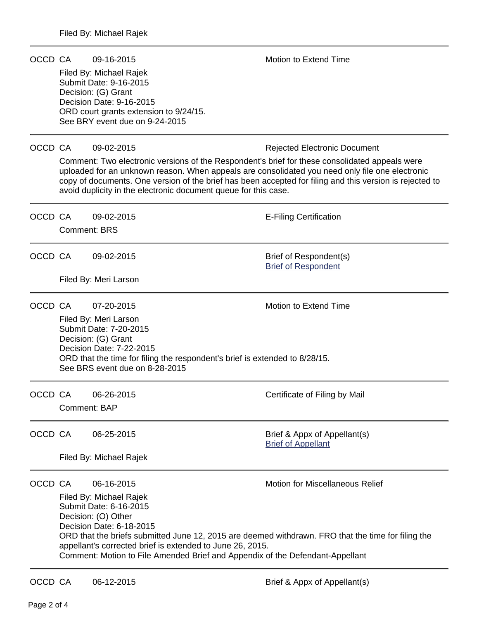| OCCD CA |                                                                                                                                                                                                                                                                                                                                                          | 09-16-2015                                                                                                                                                                                                                                                                                                                                                                       | <b>Motion to Extend Time</b>                              |  |  |  |
|---------|----------------------------------------------------------------------------------------------------------------------------------------------------------------------------------------------------------------------------------------------------------------------------------------------------------------------------------------------------------|----------------------------------------------------------------------------------------------------------------------------------------------------------------------------------------------------------------------------------------------------------------------------------------------------------------------------------------------------------------------------------|-----------------------------------------------------------|--|--|--|
|         | Filed By: Michael Rajek<br>Submit Date: 9-16-2015<br>Decision: (G) Grant<br>Decision Date: 9-16-2015                                                                                                                                                                                                                                                     |                                                                                                                                                                                                                                                                                                                                                                                  |                                                           |  |  |  |
|         |                                                                                                                                                                                                                                                                                                                                                          | ORD court grants extension to 9/24/15.<br>See BRY event due on 9-24-2015                                                                                                                                                                                                                                                                                                         |                                                           |  |  |  |
| OCCD CA |                                                                                                                                                                                                                                                                                                                                                          | 09-02-2015                                                                                                                                                                                                                                                                                                                                                                       | <b>Rejected Electronic Document</b>                       |  |  |  |
|         |                                                                                                                                                                                                                                                                                                                                                          | Comment: Two electronic versions of the Respondent's brief for these consolidated appeals were<br>uploaded for an unknown reason. When appeals are consolidated you need only file one electronic<br>copy of documents. One version of the brief has been accepted for filing and this version is rejected to<br>avoid duplicity in the electronic document queue for this case. |                                                           |  |  |  |
| OCCD CA |                                                                                                                                                                                                                                                                                                                                                          | 09-02-2015                                                                                                                                                                                                                                                                                                                                                                       | <b>E-Filing Certification</b>                             |  |  |  |
|         |                                                                                                                                                                                                                                                                                                                                                          | <b>Comment: BRS</b>                                                                                                                                                                                                                                                                                                                                                              |                                                           |  |  |  |
| OCCD CA |                                                                                                                                                                                                                                                                                                                                                          | 09-02-2015                                                                                                                                                                                                                                                                                                                                                                       | Brief of Respondent(s)<br><b>Brief of Respondent</b>      |  |  |  |
|         |                                                                                                                                                                                                                                                                                                                                                          | Filed By: Meri Larson                                                                                                                                                                                                                                                                                                                                                            |                                                           |  |  |  |
| OCCD CA |                                                                                                                                                                                                                                                                                                                                                          | 07-20-2015                                                                                                                                                                                                                                                                                                                                                                       | Motion to Extend Time                                     |  |  |  |
|         | Filed By: Meri Larson<br>Submit Date: 7-20-2015<br>Decision: (G) Grant<br>Decision Date: 7-22-2015<br>ORD that the time for filing the respondent's brief is extended to 8/28/15.<br>See BRS event due on 8-28-2015                                                                                                                                      |                                                                                                                                                                                                                                                                                                                                                                                  |                                                           |  |  |  |
| OCCD CA |                                                                                                                                                                                                                                                                                                                                                          | 06-26-2015                                                                                                                                                                                                                                                                                                                                                                       | Certificate of Filing by Mail                             |  |  |  |
|         |                                                                                                                                                                                                                                                                                                                                                          | <b>Comment: BAP</b>                                                                                                                                                                                                                                                                                                                                                              |                                                           |  |  |  |
| OCCD CA |                                                                                                                                                                                                                                                                                                                                                          | 06-25-2015                                                                                                                                                                                                                                                                                                                                                                       | Brief & Appx of Appellant(s)<br><b>Brief of Appellant</b> |  |  |  |
|         | Filed By: Michael Rajek                                                                                                                                                                                                                                                                                                                                  |                                                                                                                                                                                                                                                                                                                                                                                  |                                                           |  |  |  |
| OCCD CA |                                                                                                                                                                                                                                                                                                                                                          | 06-16-2015                                                                                                                                                                                                                                                                                                                                                                       | <b>Motion for Miscellaneous Relief</b>                    |  |  |  |
|         | Filed By: Michael Rajek<br>Submit Date: 6-16-2015<br>Decision: (O) Other<br>Decision Date: 6-18-2015<br>ORD that the briefs submitted June 12, 2015 are deemed withdrawn. FRO that the time for filing the<br>appellant's corrected brief is extended to June 26, 2015.<br>Comment: Motion to File Amended Brief and Appendix of the Defendant-Appellant |                                                                                                                                                                                                                                                                                                                                                                                  |                                                           |  |  |  |
| OCCD CA |                                                                                                                                                                                                                                                                                                                                                          | 06-12-2015                                                                                                                                                                                                                                                                                                                                                                       | Brief & Appx of Appellant(s)                              |  |  |  |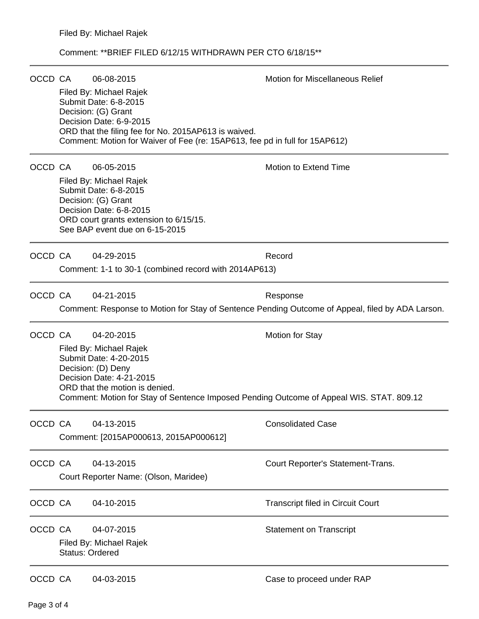#### Comment: \*\*BRIEF FILED 6/12/15 WITHDRAWN PER CTO 6/18/15\*\*

| OCCD CA |                                                                                                  | 06-08-2015                                                                                                                                                                                                                                | <b>Motion for Miscellaneous Relief</b>   |  |  |  |
|---------|--------------------------------------------------------------------------------------------------|-------------------------------------------------------------------------------------------------------------------------------------------------------------------------------------------------------------------------------------------|------------------------------------------|--|--|--|
|         |                                                                                                  | Filed By: Michael Rajek<br>Submit Date: 6-8-2015<br>Decision: (G) Grant<br>Decision Date: 6-9-2015<br>ORD that the filing fee for No. 2015AP613 is waived.<br>Comment: Motion for Waiver of Fee (re: 15AP613, fee pd in full for 15AP612) |                                          |  |  |  |
|         |                                                                                                  |                                                                                                                                                                                                                                           |                                          |  |  |  |
| OCCD CA |                                                                                                  | 06-05-2015                                                                                                                                                                                                                                | Motion to Extend Time                    |  |  |  |
|         |                                                                                                  | Filed By: Michael Rajek<br>Submit Date: 6-8-2015<br>Decision: (G) Grant<br>Decision Date: 6-8-2015<br>ORD court grants extension to 6/15/15.<br>See BAP event due on 6-15-2015                                                            |                                          |  |  |  |
| OCCD CA |                                                                                                  | 04-29-2015                                                                                                                                                                                                                                | Record                                   |  |  |  |
|         |                                                                                                  | Comment: 1-1 to 30-1 (combined record with 2014AP613)                                                                                                                                                                                     |                                          |  |  |  |
| OCCD CA |                                                                                                  | 04-21-2015                                                                                                                                                                                                                                | Response                                 |  |  |  |
|         | Comment: Response to Motion for Stay of Sentence Pending Outcome of Appeal, filed by ADA Larson. |                                                                                                                                                                                                                                           |                                          |  |  |  |
| OCCD CA |                                                                                                  | 04-20-2015                                                                                                                                                                                                                                | <b>Motion for Stay</b>                   |  |  |  |
|         |                                                                                                  | Filed By: Michael Rajek<br>Submit Date: 4-20-2015<br>Decision: (D) Deny<br>Decision Date: 4-21-2015<br>ORD that the motion is denied.<br>Comment: Motion for Stay of Sentence Imposed Pending Outcome of Appeal WIS. STAT. 809.12         |                                          |  |  |  |
| OCCD CA |                                                                                                  | 04-13-2015                                                                                                                                                                                                                                | <b>Consolidated Case</b>                 |  |  |  |
|         | Comment: [2015AP000613, 2015AP000612]                                                            |                                                                                                                                                                                                                                           |                                          |  |  |  |
| OCCD CA |                                                                                                  | 04-13-2015<br>Court Reporter Name: (Olson, Maridee)                                                                                                                                                                                       | Court Reporter's Statement-Trans.        |  |  |  |
| OCCD CA |                                                                                                  | 04-10-2015                                                                                                                                                                                                                                | <b>Transcript filed in Circuit Court</b> |  |  |  |
| OCCD CA |                                                                                                  | 04-07-2015<br>Filed By: Michael Rajek<br><b>Status: Ordered</b>                                                                                                                                                                           | <b>Statement on Transcript</b>           |  |  |  |
| OCCD CA |                                                                                                  | 04-03-2015                                                                                                                                                                                                                                | Case to proceed under RAP                |  |  |  |